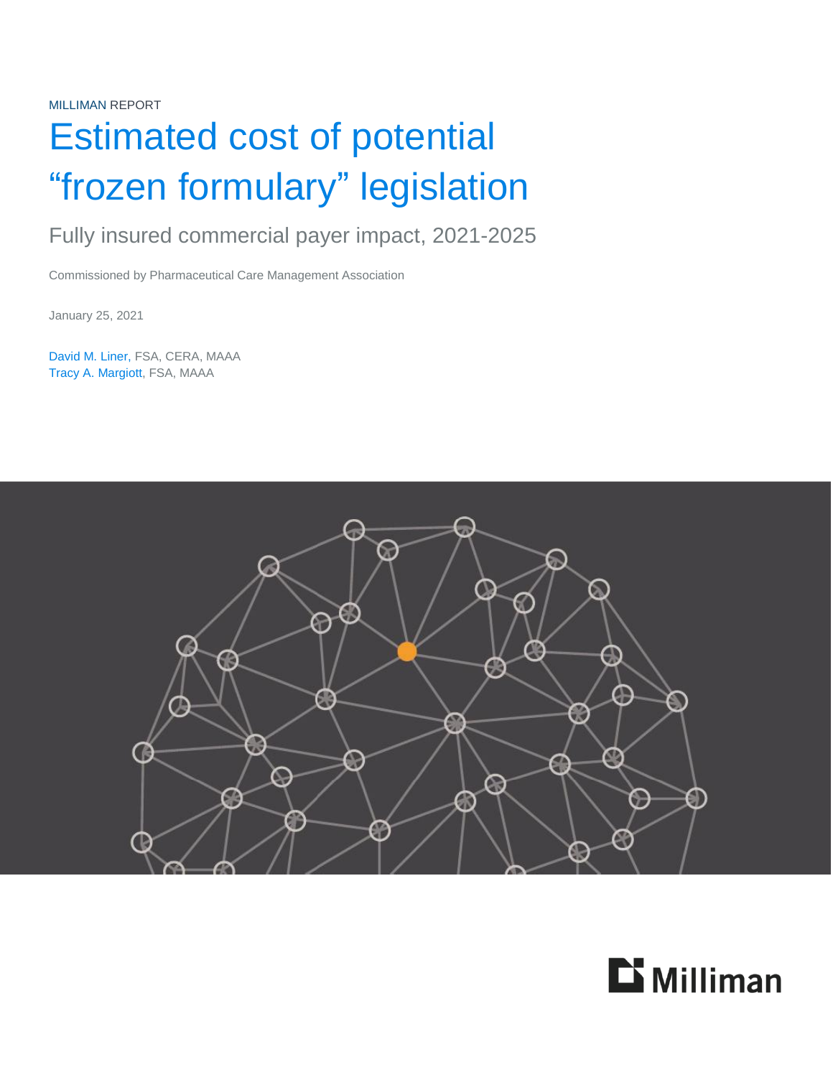MILLIMAN REPORT

# Estimated cost of potential "frozen formulary" legislation

# Fully insured commercial payer impact, 2021-2025

Commissioned by Pharmaceutical Care Management Association

January 25, 2021

David M. Liner, FSA, CERA, MAAA Tracy A. Margiott, FSA, MAAA



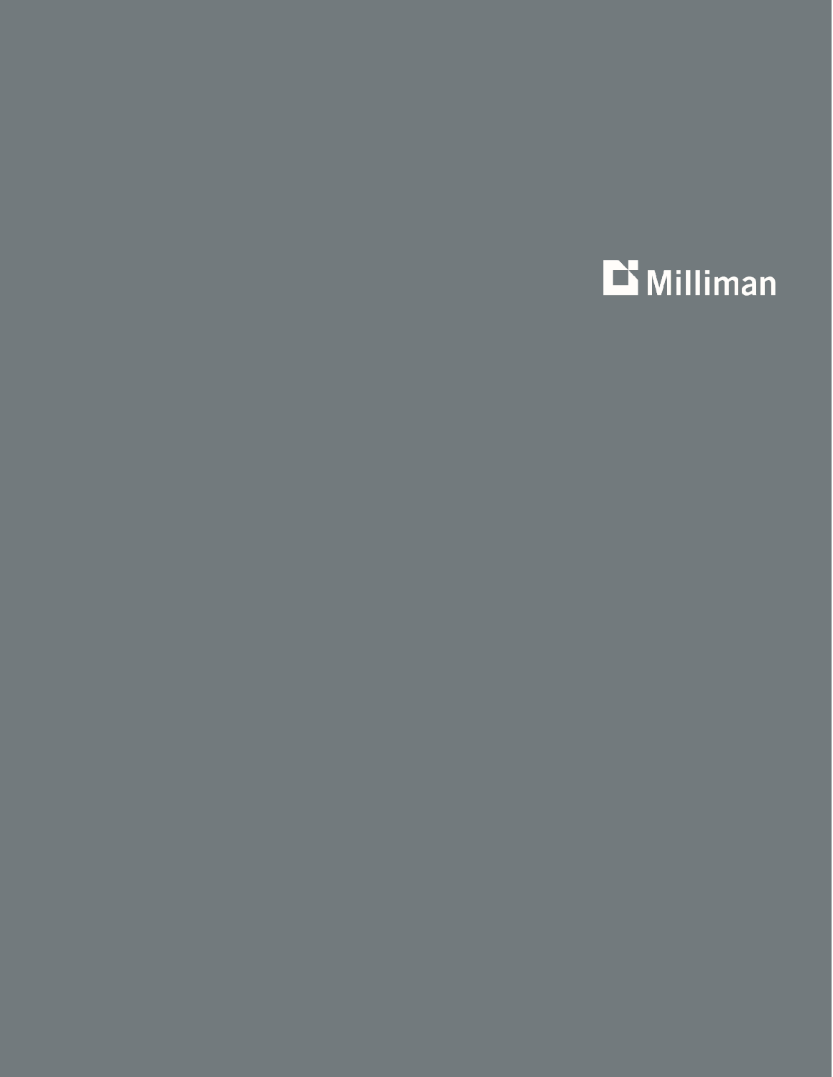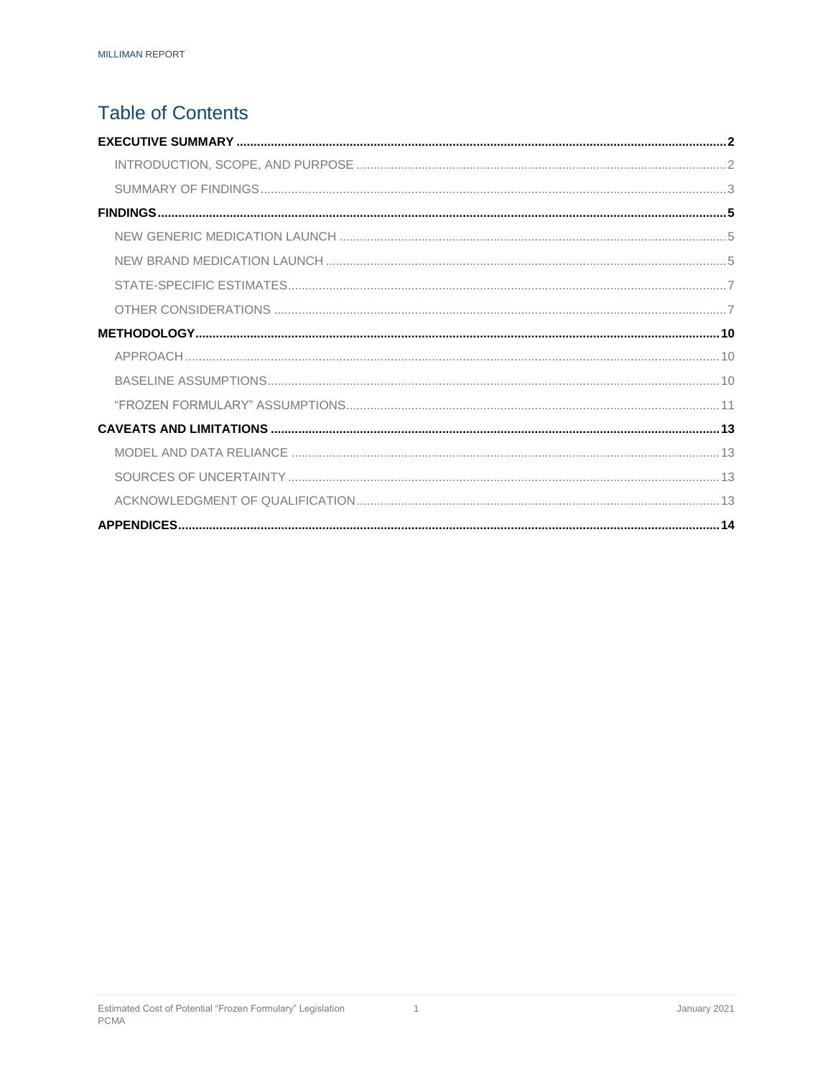## **Table of Contents**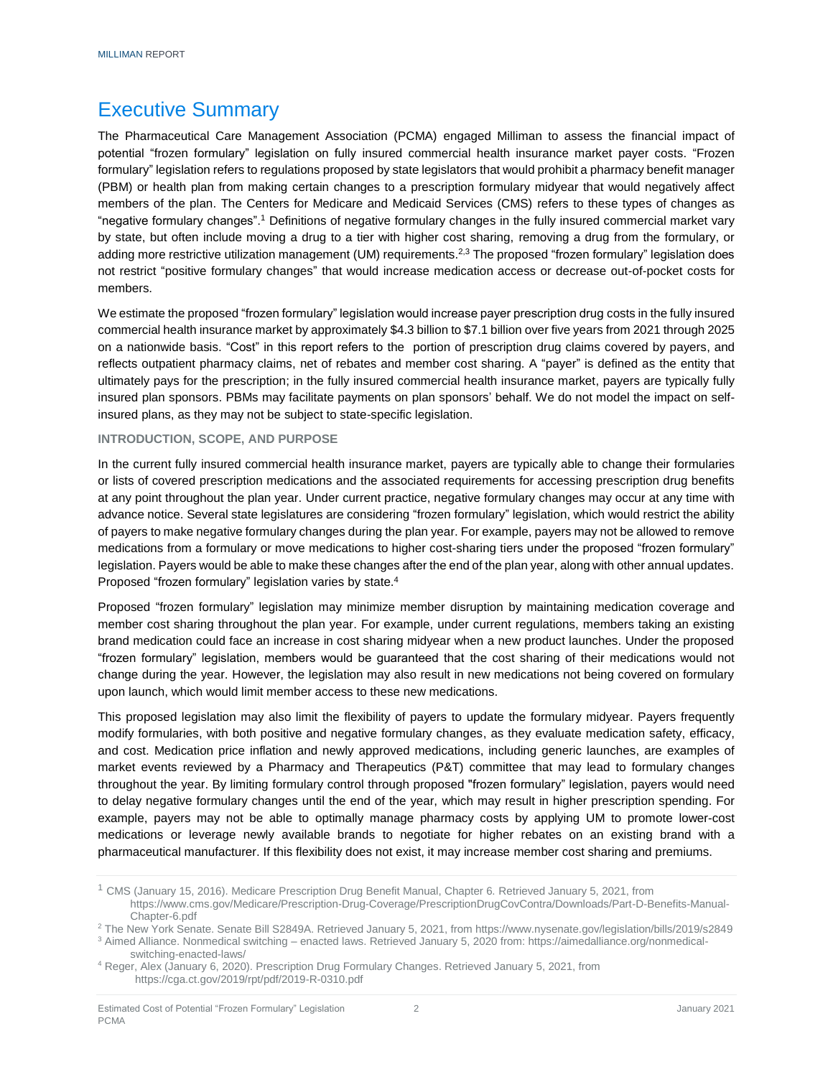### <span id="page-3-0"></span>Executive Summary

The Pharmaceutical Care Management Association (PCMA) engaged Milliman to assess the financial impact of potential "frozen formulary" legislation on fully insured commercial health insurance market payer costs. "Frozen formulary" legislation refers to regulations proposed by state legislators that would prohibit a pharmacy benefit manager (PBM) or health plan from making certain changes to a prescription formulary midyear that would negatively affect members of the plan. The Centers for Medicare and Medicaid Services (CMS) refers to these types of changes as "negative formulary changes".<sup>1</sup> Definitions of negative formulary changes in the fully insured commercial market vary by state, but often include moving a drug to a tier with higher cost sharing, removing a drug from the formulary, or adding more restrictive utilization management (UM) requirements.<sup>2,3</sup> The proposed "frozen formulary" legislation does not restrict "positive formulary changes" that would increase medication access or decrease out-of-pocket costs for members.

We estimate the proposed "frozen formulary" legislation would increase payer prescription drug costs in the fully insured commercial health insurance market by approximately \$4.3 billion to \$7.1 billion over five years from 2021 through 2025 on a nationwide basis. "Cost" in this report refers to the portion of prescription drug claims covered by payers, and reflects outpatient pharmacy claims, net of rebates and member cost sharing. A "payer" is defined as the entity that ultimately pays for the prescription; in the fully insured commercial health insurance market, payers are typically fully insured plan sponsors. PBMs may facilitate payments on plan sponsors' behalf. We do not model the impact on selfinsured plans, as they may not be subject to state-specific legislation.

#### <span id="page-3-1"></span>**INTRODUCTION, SCOPE, AND PURPOSE**

In the current fully insured commercial health insurance market, payers are typically able to change their formularies or lists of covered prescription medications and the associated requirements for accessing prescription drug benefits at any point throughout the plan year. Under current practice, negative formulary changes may occur at any time with advance notice. Several state legislatures are considering "frozen formulary" legislation, which would restrict the ability of payers to make negative formulary changes during the plan year. For example, payers may not be allowed to remove medications from a formulary or move medications to higher cost-sharing tiers under the proposed "frozen formulary" legislation. Payers would be able to make these changes after the end of the plan year, along with other annual updates. Proposed "frozen formulary" legislation varies by state. 4

Proposed "frozen formulary" legislation may minimize member disruption by maintaining medication coverage and member cost sharing throughout the plan year. For example, under current regulations, members taking an existing brand medication could face an increase in cost sharing midyear when a new product launches. Under the proposed "frozen formulary" legislation, members would be guaranteed that the cost sharing of their medications would not change during the year. However, the legislation may also result in new medications not being covered on formulary upon launch, which would limit member access to these new medications.

This proposed legislation may also limit the flexibility of payers to update the formulary midyear. Payers frequently modify formularies, with both positive and negative formulary changes, as they evaluate medication safety, efficacy, and cost. Medication price inflation and newly approved medications, including generic launches, are examples of market events reviewed by a Pharmacy and Therapeutics (P&T) committee that may lead to formulary changes throughout the year. By limiting formulary control through proposed "frozen formulary" legislation, payers would need to delay negative formulary changes until the end of the year, which may result in higher prescription spending. For example, payers may not be able to optimally manage pharmacy costs by applying UM to promote lower-cost medications or leverage newly available brands to negotiate for higher rebates on an existing brand with a pharmaceutical manufacturer. If this flexibility does not exist, it may increase member cost sharing and premiums.

<sup>1</sup> CMS (January 15, 2016). Medicare Prescription Drug Benefit Manual, Chapter 6. Retrieved January 5, 2021, from

https://www.cms.gov/Medicare/Prescription-Drug-Coverage/PrescriptionDrugCovContra/Downloads/Part-D-Benefits-Manual-Chapter-6.pdf

<sup>&</sup>lt;sup>2</sup> The New York Senate. Senate Bill S2849A. Retrieved January 5, 2021, from https://www.nysenate.gov/legislation/bills/2019/s2849 <sup>3</sup> Aimed Alliance. Nonmedical switching – enacted laws. Retrieved January 5, 2020 from: https://aimedalliance.org/nonmedical-

switching-enacted-laws/

<sup>4</sup> Reger, Alex (January 6, 2020). Prescription Drug Formulary Changes. Retrieved January 5, 2021, from https://cga.ct.gov/2019/rpt/pdf/2019-R-0310.pdf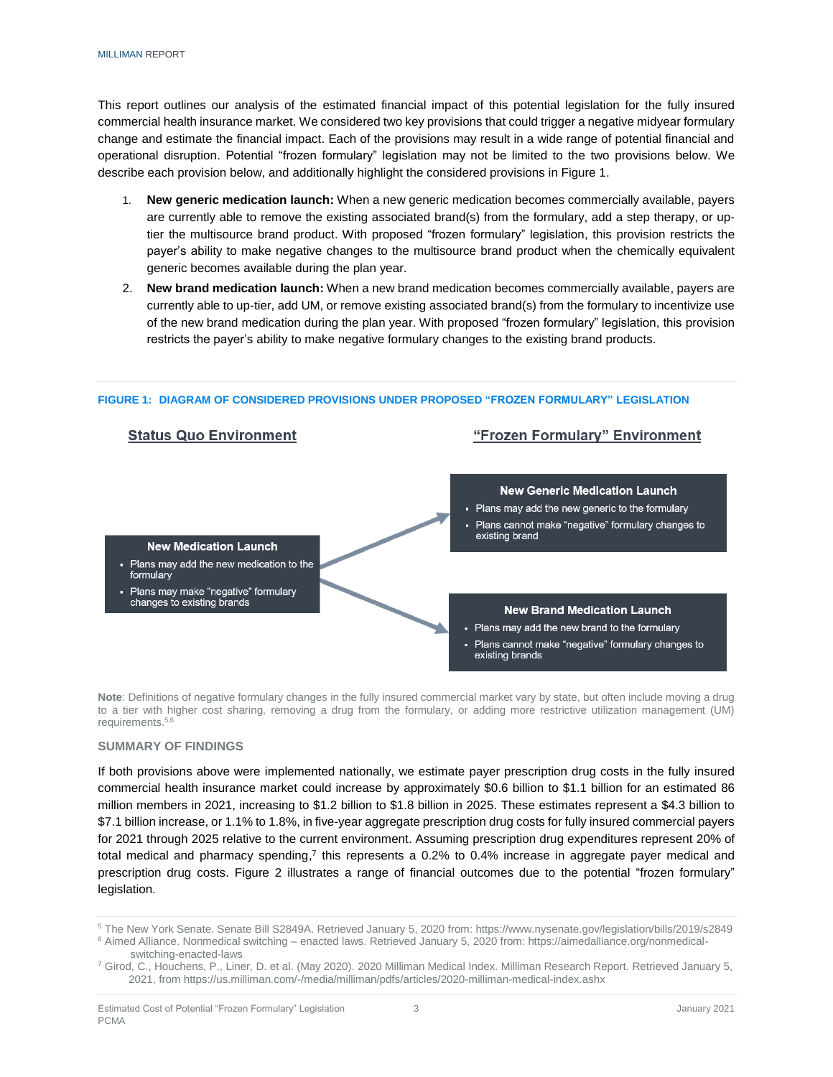This report outlines our analysis of the estimated financial impact of this potential legislation for the fully insured commercial health insurance market. We considered two key provisions that could trigger a negative midyear formulary change and estimate the financial impact. Each of the provisions may result in a wide range of potential financial and operational disruption. Potential "frozen formulary" legislation may not be limited to the two provisions below. We describe each provision below, and additionally highlight the considered provisions in Figure 1.

- 1. **New generic medication launch:** When a new generic medication becomes commercially available, payers are currently able to remove the existing associated brand(s) from the formulary, add a step therapy, or uptier the multisource brand product. With proposed "frozen formulary" legislation, this provision restricts the payer's ability to make negative changes to the multisource brand product when the chemically equivalent generic becomes available during the plan year.
- 2. **New brand medication launch:** When a new brand medication becomes commercially available, payers are currently able to up-tier, add UM, or remove existing associated brand(s) from the formulary to incentivize use of the new brand medication during the plan year. With proposed "frozen formulary" legislation, this provision restricts the payer's ability to make negative formulary changes to the existing brand products.



**FIGURE 1: DIAGRAM OF CONSIDERED PROVISIONS UNDER PROPOSED "FROZEN FORMULARY" LEGISLATION**

**Note**: Definitions of negative formulary changes in the fully insured commercial market vary by state, but often include moving a drug to a tier with higher cost sharing, removing a drug from the formulary, or adding more restrictive utilization management (UM) requirements. 5,6

#### <span id="page-4-0"></span>**SUMMARY OF FINDINGS**

If both provisions above were implemented nationally, we estimate payer prescription drug costs in the fully insured commercial health insurance market could increase by approximately \$0.6 billion to \$1.1 billion for an estimated 86 million members in 2021, increasing to \$1.2 billion to \$1.8 billion in 2025. These estimates represent a \$4.3 billion to \$7.1 billion increase, or 1.1% to 1.8%, in five-year aggregate prescription drug costs for fully insured commercial payers for 2021 through 2025 relative to the current environment. Assuming prescription drug expenditures represent 20% of total medical and pharmacy spending,<sup>7</sup> this represents a 0.2% to 0.4% increase in aggregate payer medical and prescription drug costs. Figure 2 illustrates a range of financial outcomes due to the potential "frozen formulary" legislation.

<sup>5</sup> The New York Senate. Senate Bill S2849A. Retrieved January 5, 2020 from: https://www.nysenate.gov/legislation/bills/2019/s2849

<sup>6</sup> Aimed Alliance. Nonmedical switching – enacted laws. Retrieved January 5, 2020 from: https://aimedalliance.org/nonmedicalswitching-enacted-laws

<sup>7</sup> Girod, C., Houchens, P., Liner, D. et al. (May 2020). 2020 Milliman Medical Index. Milliman Research Report. Retrieved January 5, 2021, from https://us.milliman.com/-/media/milliman/pdfs/articles/2020-milliman-medical-index.ashx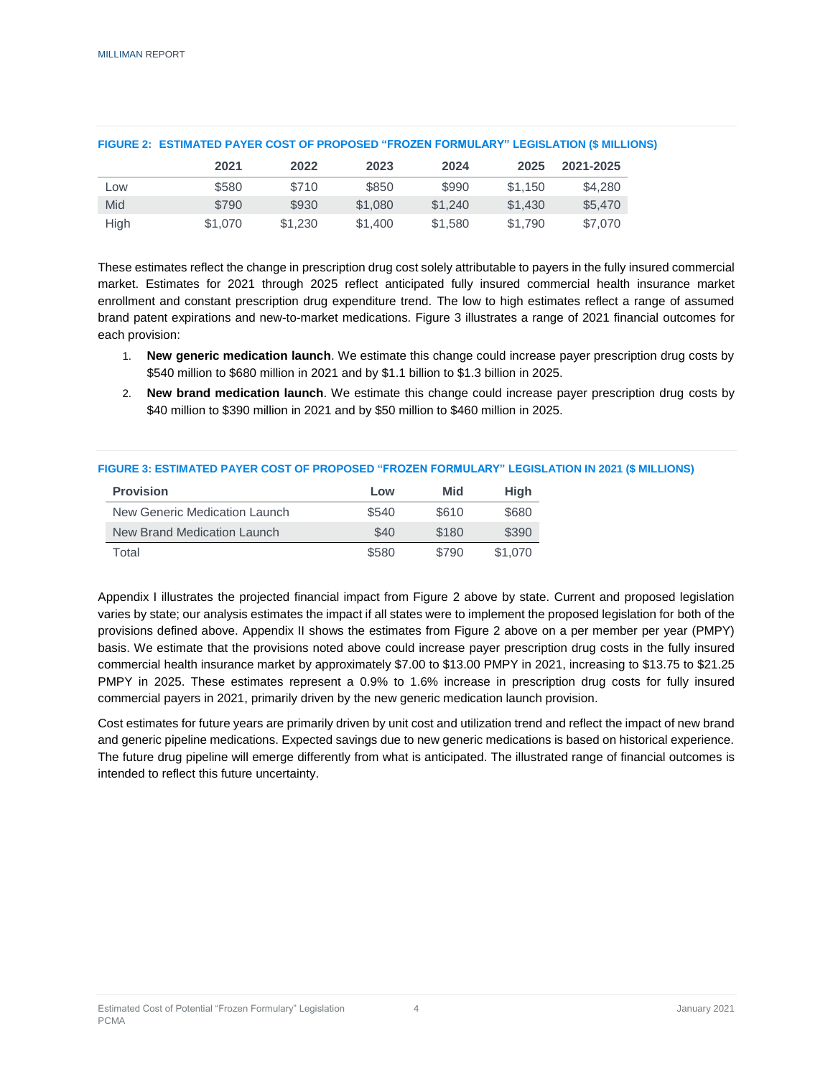|      | 2021    | 2022    | 2023    | 2024    | 2025    | 2021-2025 |
|------|---------|---------|---------|---------|---------|-----------|
| Low  | \$580   | \$710   | \$850   | \$990   | \$1.150 | \$4,280   |
| Mid  | \$790   | \$930   | \$1,080 | \$1,240 | \$1,430 | \$5,470   |
| High | \$1,070 | \$1.230 | \$1,400 | \$1,580 | \$1.790 | \$7,070   |

#### **FIGURE 2: ESTIMATED PAYER COST OF PROPOSED "FROZEN FORMULARY" LEGISLATION (\$ MILLIONS)**

These estimates reflect the change in prescription drug cost solely attributable to payers in the fully insured commercial market. Estimates for 2021 through 2025 reflect anticipated fully insured commercial health insurance market enrollment and constant prescription drug expenditure trend. The low to high estimates reflect a range of assumed brand patent expirations and new-to-market medications. Figure 3 illustrates a range of 2021 financial outcomes for each provision:

- 1. **New generic medication launch**. We estimate this change could increase payer prescription drug costs by \$540 million to \$680 million in 2021 and by \$1.1 billion to \$1.3 billion in 2025.
- 2. **New brand medication launch**. We estimate this change could increase payer prescription drug costs by \$40 million to \$390 million in 2021 and by \$50 million to \$460 million in 2025.

#### **FIGURE 3: ESTIMATED PAYER COST OF PROPOSED "FROZEN FORMULARY" LEGISLATION IN 2021 (\$ MILLIONS)**

| <b>Provision</b>              | Low   | <b>Mid</b> | Hiah    |
|-------------------------------|-------|------------|---------|
| New Generic Medication Launch | \$540 | \$610      | \$680   |
| New Brand Medication Launch   | \$40  | \$180      | \$390   |
| Total                         | \$580 | \$790      | \$1,070 |

Appendix I illustrates the projected financial impact from Figure 2 above by state. Current and proposed legislation varies by state; our analysis estimates the impact if all states were to implement the proposed legislation for both of the provisions defined above. Appendix II shows the estimates from Figure 2 above on a per member per year (PMPY) basis. We estimate that the provisions noted above could increase payer prescription drug costs in the fully insured commercial health insurance market by approximately \$7.00 to \$13.00 PMPY in 2021, increasing to \$13.75 to \$21.25 PMPY in 2025. These estimates represent a 0.9% to 1.6% increase in prescription drug costs for fully insured commercial payers in 2021, primarily driven by the new generic medication launch provision.

Cost estimates for future years are primarily driven by unit cost and utilization trend and reflect the impact of new brand and generic pipeline medications. Expected savings due to new generic medications is based on historical experience. The future drug pipeline will emerge differently from what is anticipated. The illustrated range of financial outcomes is intended to reflect this future uncertainty.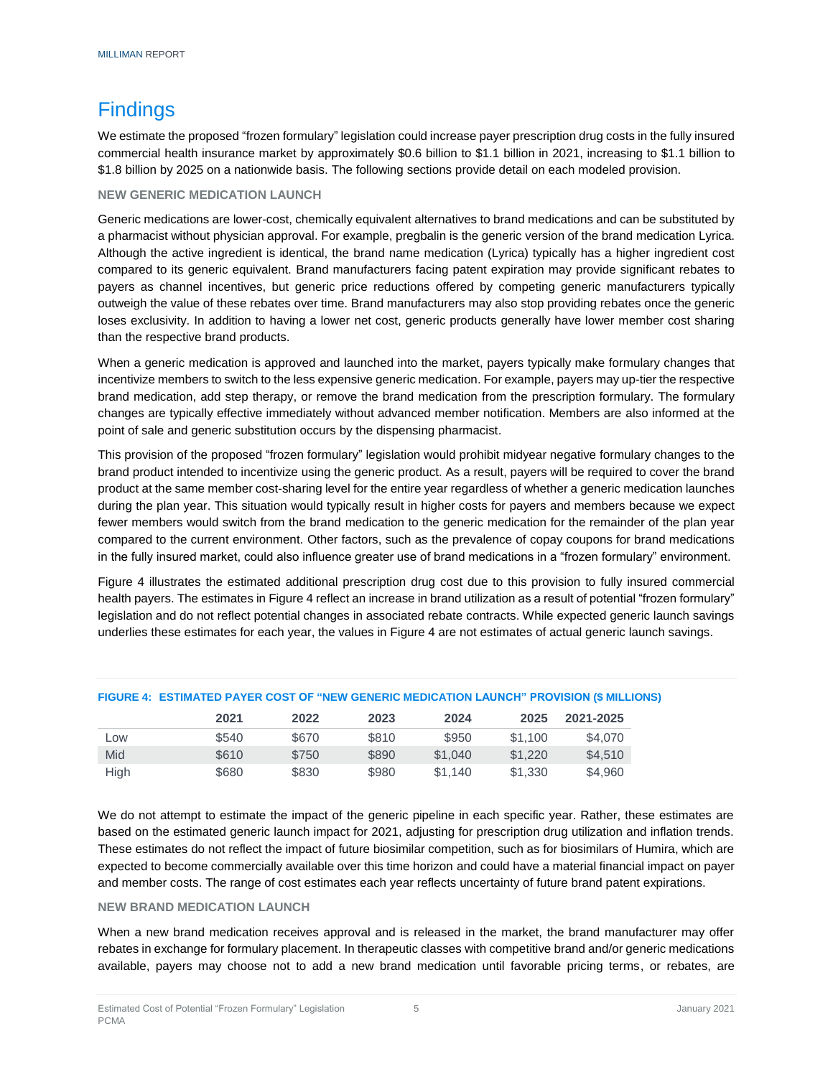# <span id="page-6-0"></span>**Findings**

We estimate the proposed "frozen formulary" legislation could increase payer prescription drug costs in the fully insured commercial health insurance market by approximately \$0.6 billion to \$1.1 billion in 2021, increasing to \$1.1 billion to \$1.8 billion by 2025 on a nationwide basis. The following sections provide detail on each modeled provision.

#### <span id="page-6-1"></span>**NEW GENERIC MEDICATION LAUNCH**

Generic medications are lower-cost, chemically equivalent alternatives to brand medications and can be substituted by a pharmacist without physician approval. For example, pregbalin is the generic version of the brand medication Lyrica. Although the active ingredient is identical, the brand name medication (Lyrica) typically has a higher ingredient cost compared to its generic equivalent. Brand manufacturers facing patent expiration may provide significant rebates to payers as channel incentives, but generic price reductions offered by competing generic manufacturers typically outweigh the value of these rebates over time. Brand manufacturers may also stop providing rebates once the generic loses exclusivity. In addition to having a lower net cost, generic products generally have lower member cost sharing than the respective brand products.

When a generic medication is approved and launched into the market, payers typically make formulary changes that incentivize members to switch to the less expensive generic medication. For example, payers may up-tier the respective brand medication, add step therapy, or remove the brand medication from the prescription formulary. The formulary changes are typically effective immediately without advanced member notification. Members are also informed at the point of sale and generic substitution occurs by the dispensing pharmacist.

This provision of the proposed "frozen formulary" legislation would prohibit midyear negative formulary changes to the brand product intended to incentivize using the generic product. As a result, payers will be required to cover the brand product at the same member cost-sharing level for the entire year regardless of whether a generic medication launches during the plan year. This situation would typically result in higher costs for payers and members because we expect fewer members would switch from the brand medication to the generic medication for the remainder of the plan year compared to the current environment. Other factors, such as the prevalence of copay coupons for brand medications in the fully insured market, could also influence greater use of brand medications in a "frozen formulary" environment.

Figure 4 illustrates the estimated additional prescription drug cost due to this provision to fully insured commercial health payers. The estimates in Figure 4 reflect an increase in brand utilization as a result of potential "frozen formulary" legislation and do not reflect potential changes in associated rebate contracts. While expected generic launch savings underlies these estimates for each year, the values in Figure 4 are not estimates of actual generic launch savings.

|      |       |       | <b>THOURE 4. EQTIMINIED FATER COOT OF THEM OENERIC MEDICATION EACH CIT FRONOICN (@ MILEIO</b> |         |         |           |  |
|------|-------|-------|-----------------------------------------------------------------------------------------------|---------|---------|-----------|--|
|      | 2021  | 2022  | 2023                                                                                          | 2024    | 2025    | 2021-2025 |  |
| Low  | \$540 | \$670 | \$810                                                                                         | \$950   | \$1.100 | \$4,070   |  |
| Mid  | \$610 | \$750 | \$890                                                                                         | \$1,040 | \$1.220 | \$4,510   |  |
| High | \$680 | \$830 | \$980                                                                                         | \$1.140 | \$1,330 | \$4.960   |  |

#### **FIGURE 4: ESTIMATED PAYER COST OF "NEW GENERIC MEDICATION LAUNCH" PROVISION (\$ MILLIONS)**

We do not attempt to estimate the impact of the generic pipeline in each specific year. Rather, these estimates are based on the estimated generic launch impact for 2021, adjusting for prescription drug utilization and inflation trends. These estimates do not reflect the impact of future biosimilar competition, such as for biosimilars of Humira, which are expected to become commercially available over this time horizon and could have a material financial impact on payer and member costs. The range of cost estimates each year reflects uncertainty of future brand patent expirations.

#### <span id="page-6-2"></span>**NEW BRAND MEDICATION LAUNCH**

When a new brand medication receives approval and is released in the market, the brand manufacturer may offer rebates in exchange for formulary placement. In therapeutic classes with competitive brand and/or generic medications available, payers may choose not to add a new brand medication until favorable pricing terms, or rebates, are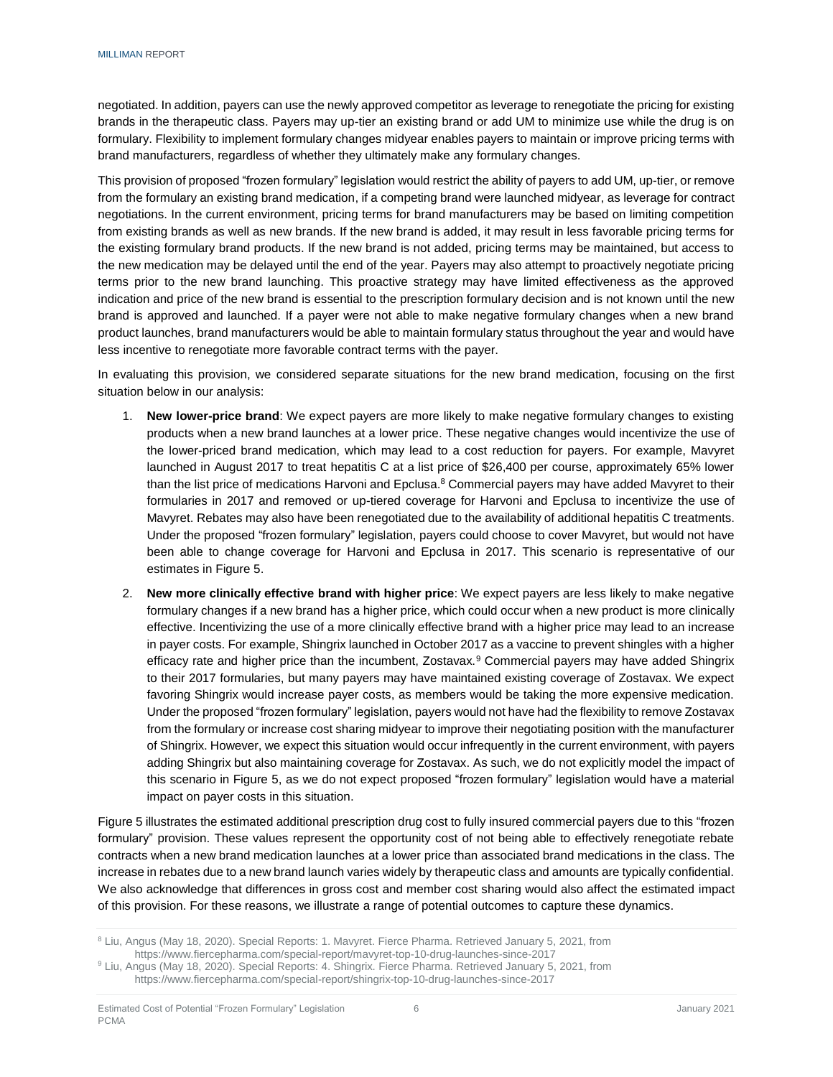negotiated. In addition, payers can use the newly approved competitor as leverage to renegotiate the pricing for existing brands in the therapeutic class. Payers may up-tier an existing brand or add UM to minimize use while the drug is on formulary. Flexibility to implement formulary changes midyear enables payers to maintain or improve pricing terms with brand manufacturers, regardless of whether they ultimately make any formulary changes.

This provision of proposed "frozen formulary" legislation would restrict the ability of payers to add UM, up-tier, or remove from the formulary an existing brand medication, if a competing brand were launched midyear, as leverage for contract negotiations. In the current environment, pricing terms for brand manufacturers may be based on limiting competition from existing brands as well as new brands. If the new brand is added, it may result in less favorable pricing terms for the existing formulary brand products. If the new brand is not added, pricing terms may be maintained, but access to the new medication may be delayed until the end of the year. Payers may also attempt to proactively negotiate pricing terms prior to the new brand launching. This proactive strategy may have limited effectiveness as the approved indication and price of the new brand is essential to the prescription formulary decision and is not known until the new brand is approved and launched. If a payer were not able to make negative formulary changes when a new brand product launches, brand manufacturers would be able to maintain formulary status throughout the year and would have less incentive to renegotiate more favorable contract terms with the payer.

In evaluating this provision, we considered separate situations for the new brand medication, focusing on the first situation below in our analysis:

- 1. **New lower-price brand**: We expect payers are more likely to make negative formulary changes to existing products when a new brand launches at a lower price. These negative changes would incentivize the use of the lower-priced brand medication, which may lead to a cost reduction for payers. For example, Mavyret launched in August 2017 to treat hepatitis C at a list price of \$26,400 per course, approximately 65% lower than the list price of medications Harvoni and Epclusa.<sup>8</sup> Commercial payers may have added Mavyret to their formularies in 2017 and removed or up-tiered coverage for Harvoni and Epclusa to incentivize the use of Mavyret. Rebates may also have been renegotiated due to the availability of additional hepatitis C treatments. Under the proposed "frozen formulary" legislation, payers could choose to cover Mavyret, but would not have been able to change coverage for Harvoni and Epclusa in 2017. This scenario is representative of our estimates in Figure 5.
- 2. **New more clinically effective brand with higher price**: We expect payers are less likely to make negative formulary changes if a new brand has a higher price, which could occur when a new product is more clinically effective. Incentivizing the use of a more clinically effective brand with a higher price may lead to an increase in payer costs. For example, Shingrix launched in October 2017 as a vaccine to prevent shingles with a higher efficacy rate and higher price than the incumbent, Zostavax.<sup>9</sup> Commercial payers may have added Shingrix to their 2017 formularies, but many payers may have maintained existing coverage of Zostavax. We expect favoring Shingrix would increase payer costs, as members would be taking the more expensive medication. Under the proposed "frozen formulary" legislation, payers would not have had the flexibility to remove Zostavax from the formulary or increase cost sharing midyear to improve their negotiating position with the manufacturer of Shingrix. However, we expect this situation would occur infrequently in the current environment, with payers adding Shingrix but also maintaining coverage for Zostavax. As such, we do not explicitly model the impact of this scenario in Figure 5, as we do not expect proposed "frozen formulary" legislation would have a material impact on payer costs in this situation.

Figure 5 illustrates the estimated additional prescription drug cost to fully insured commercial payers due to this "frozen formulary" provision. These values represent the opportunity cost of not being able to effectively renegotiate rebate contracts when a new brand medication launches at a lower price than associated brand medications in the class. The increase in rebates due to a new brand launch varies widely by therapeutic class and amounts are typically confidential. We also acknowledge that differences in gross cost and member cost sharing would also affect the estimated impact of this provision. For these reasons, we illustrate a range of potential outcomes to capture these dynamics.

<sup>8</sup> Liu, Angus (May 18, 2020). Special Reports: 1. Mavyret. Fierce Pharma. Retrieved January 5, 2021, from https://www.fiercepharma.com/special-report/mavyret-top-10-drug-launches-since-2017

<sup>9</sup> Liu, Angus (May 18, 2020). Special Reports: 4. Shingrix. Fierce Pharma. Retrieved January 5, 2021, from https://www.fiercepharma.com/special-report/shingrix-top-10-drug-launches-since-2017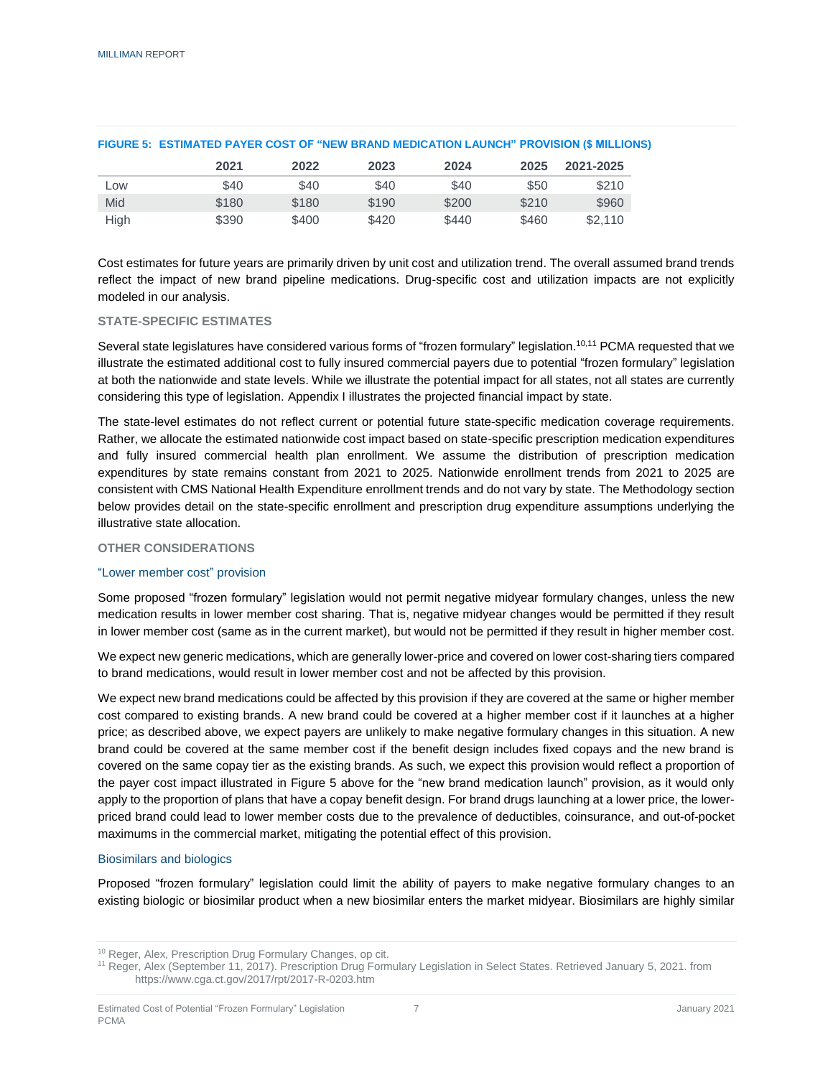|      | 2021  | 2022  | 2023  | 2024  | 2025  | 2021-2025 |
|------|-------|-------|-------|-------|-------|-----------|
| Low  | \$40  | \$40  | \$40  | \$40  | \$50  | \$210     |
| Mid  | \$180 | \$180 | \$190 | \$200 | \$210 | \$960     |
| High | \$390 | \$400 | \$420 | \$440 | \$460 | \$2.110   |

#### **FIGURE 5: ESTIMATED PAYER COST OF "NEW BRAND MEDICATION LAUNCH" PROVISION (\$ MILLIONS)**

Cost estimates for future years are primarily driven by unit cost and utilization trend. The overall assumed brand trends reflect the impact of new brand pipeline medications. Drug-specific cost and utilization impacts are not explicitly modeled in our analysis.

#### <span id="page-8-0"></span>**STATE-SPECIFIC ESTIMATES**

Several state legislatures have considered various forms of "frozen formulary" legislation.<sup>10,11</sup> PCMA requested that we illustrate the estimated additional cost to fully insured commercial payers due to potential "frozen formulary" legislation at both the nationwide and state levels. While we illustrate the potential impact for all states, not all states are currently considering this type of legislation. Appendix I illustrates the projected financial impact by state.

The state-level estimates do not reflect current or potential future state-specific medication coverage requirements. Rather, we allocate the estimated nationwide cost impact based on state-specific prescription medication expenditures and fully insured commercial health plan enrollment. We assume the distribution of prescription medication expenditures by state remains constant from 2021 to 2025. Nationwide enrollment trends from 2021 to 2025 are consistent with CMS National Health Expenditure enrollment trends and do not vary by state. The Methodology section below provides detail on the state-specific enrollment and prescription drug expenditure assumptions underlying the illustrative state allocation.

#### <span id="page-8-1"></span>**OTHER CONSIDERATIONS**

#### "Lower member cost" provision

Some proposed "frozen formulary" legislation would not permit negative midyear formulary changes, unless the new medication results in lower member cost sharing. That is, negative midyear changes would be permitted if they result in lower member cost (same as in the current market), but would not be permitted if they result in higher member cost.

We expect new generic medications, which are generally lower-price and covered on lower cost-sharing tiers compared to brand medications, would result in lower member cost and not be affected by this provision.

We expect new brand medications could be affected by this provision if they are covered at the same or higher member cost compared to existing brands. A new brand could be covered at a higher member cost if it launches at a higher price; as described above, we expect payers are unlikely to make negative formulary changes in this situation. A new brand could be covered at the same member cost if the benefit design includes fixed copays and the new brand is covered on the same copay tier as the existing brands. As such, we expect this provision would reflect a proportion of the payer cost impact illustrated in Figure 5 above for the "new brand medication launch" provision, as it would only apply to the proportion of plans that have a copay benefit design. For brand drugs launching at a lower price, the lowerpriced brand could lead to lower member costs due to the prevalence of deductibles, coinsurance, and out-of-pocket maximums in the commercial market, mitigating the potential effect of this provision.

#### Biosimilars and biologics

Proposed "frozen formulary" legislation could limit the ability of payers to make negative formulary changes to an existing biologic or biosimilar product when a new biosimilar enters the market midyear. Biosimilars are highly similar

<sup>&</sup>lt;sup>10</sup> Reger, Alex, Prescription Drug Formulary Changes, op cit.

<sup>11</sup> Reger, Alex (September 11, 2017). Prescription Drug Formulary Legislation in Select States. Retrieved January 5, 2021. from https://www.cga.ct.gov/2017/rpt/2017-R-0203.htm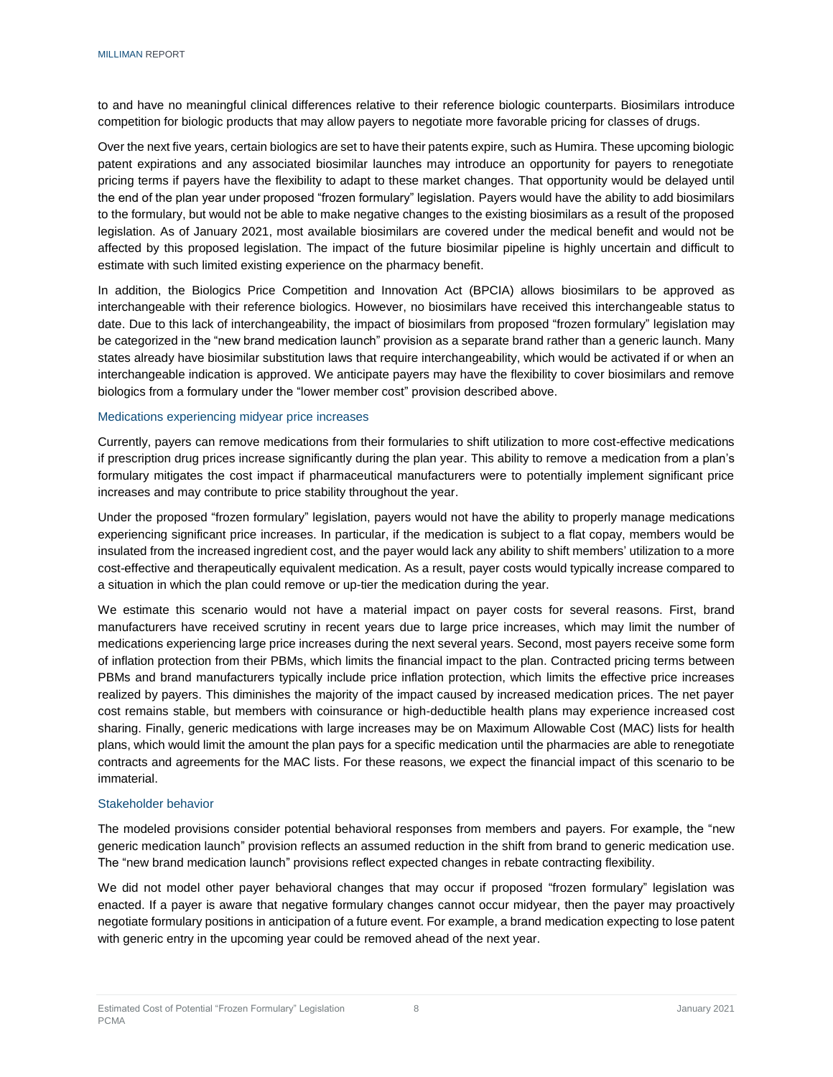to and have no meaningful clinical differences relative to their reference biologic counterparts. Biosimilars introduce competition for biologic products that may allow payers to negotiate more favorable pricing for classes of drugs.

Over the next five years, certain biologics are set to have their patents expire, such as Humira. These upcoming biologic patent expirations and any associated biosimilar launches may introduce an opportunity for payers to renegotiate pricing terms if payers have the flexibility to adapt to these market changes. That opportunity would be delayed until the end of the plan year under proposed "frozen formulary" legislation. Payers would have the ability to add biosimilars to the formulary, but would not be able to make negative changes to the existing biosimilars as a result of the proposed legislation. As of January 2021, most available biosimilars are covered under the medical benefit and would not be affected by this proposed legislation. The impact of the future biosimilar pipeline is highly uncertain and difficult to estimate with such limited existing experience on the pharmacy benefit.

In addition, the Biologics Price Competition and Innovation Act (BPCIA) allows biosimilars to be approved as interchangeable with their reference biologics. However, no biosimilars have received this interchangeable status to date. Due to this lack of interchangeability, the impact of biosimilars from proposed "frozen formulary" legislation may be categorized in the "new brand medication launch" provision as a separate brand rather than a generic launch. Many states already have biosimilar substitution laws that require interchangeability, which would be activated if or when an interchangeable indication is approved. We anticipate payers may have the flexibility to cover biosimilars and remove biologics from a formulary under the "lower member cost" provision described above.

#### Medications experiencing midyear price increases

Currently, payers can remove medications from their formularies to shift utilization to more cost-effective medications if prescription drug prices increase significantly during the plan year. This ability to remove a medication from a plan's formulary mitigates the cost impact if pharmaceutical manufacturers were to potentially implement significant price increases and may contribute to price stability throughout the year.

Under the proposed "frozen formulary" legislation, payers would not have the ability to properly manage medications experiencing significant price increases. In particular, if the medication is subject to a flat copay, members would be insulated from the increased ingredient cost, and the payer would lack any ability to shift members' utilization to a more cost-effective and therapeutically equivalent medication. As a result, payer costs would typically increase compared to a situation in which the plan could remove or up-tier the medication during the year.

We estimate this scenario would not have a material impact on payer costs for several reasons. First, brand manufacturers have received scrutiny in recent years due to large price increases, which may limit the number of medications experiencing large price increases during the next several years. Second, most payers receive some form of inflation protection from their PBMs, which limits the financial impact to the plan. Contracted pricing terms between PBMs and brand manufacturers typically include price inflation protection, which limits the effective price increases realized by payers. This diminishes the majority of the impact caused by increased medication prices. The net payer cost remains stable, but members with coinsurance or high-deductible health plans may experience increased cost sharing. Finally, generic medications with large increases may be on Maximum Allowable Cost (MAC) lists for health plans, which would limit the amount the plan pays for a specific medication until the pharmacies are able to renegotiate contracts and agreements for the MAC lists. For these reasons, we expect the financial impact of this scenario to be immaterial.

#### Stakeholder behavior

The modeled provisions consider potential behavioral responses from members and payers. For example, the "new generic medication launch" provision reflects an assumed reduction in the shift from brand to generic medication use. The "new brand medication launch" provisions reflect expected changes in rebate contracting flexibility.

We did not model other payer behavioral changes that may occur if proposed "frozen formulary" legislation was enacted. If a payer is aware that negative formulary changes cannot occur midyear, then the payer may proactively negotiate formulary positions in anticipation of a future event. For example, a brand medication expecting to lose patent with generic entry in the upcoming year could be removed ahead of the next year.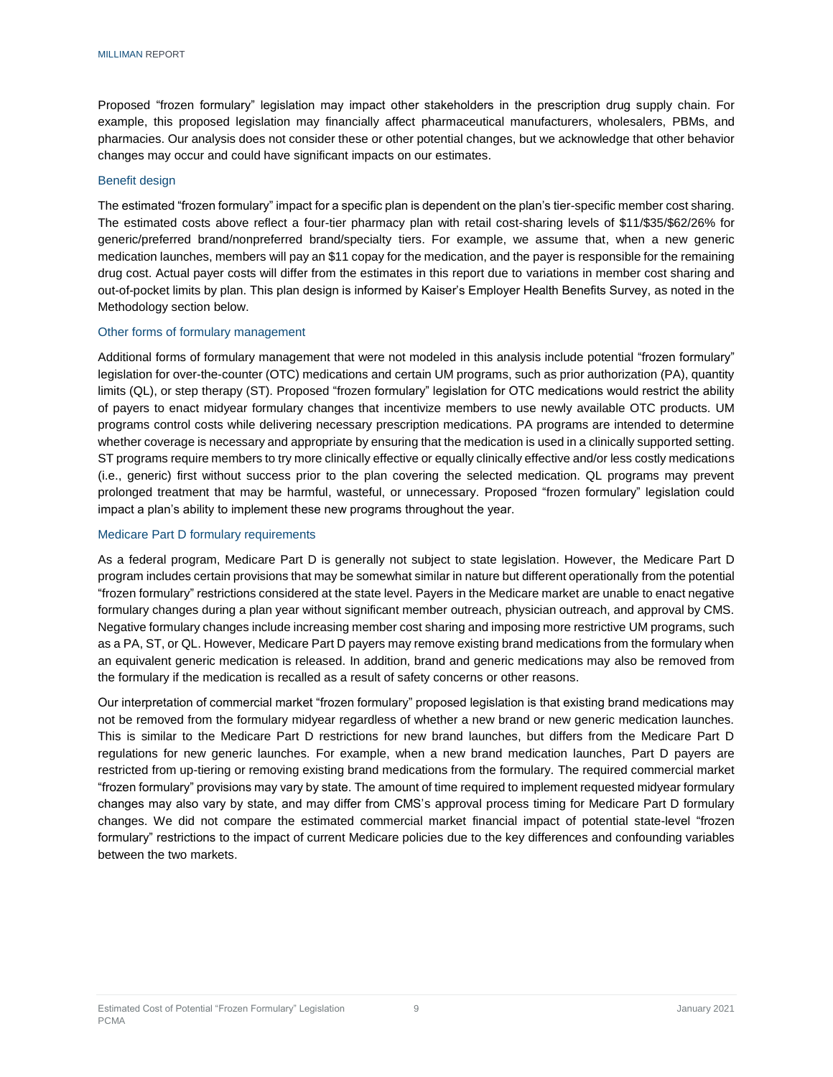Proposed "frozen formulary" legislation may impact other stakeholders in the prescription drug supply chain. For example, this proposed legislation may financially affect pharmaceutical manufacturers, wholesalers, PBMs, and pharmacies. Our analysis does not consider these or other potential changes, but we acknowledge that other behavior changes may occur and could have significant impacts on our estimates.

#### Benefit design

The estimated "frozen formulary" impact for a specific plan is dependent on the plan's tier-specific member cost sharing. The estimated costs above reflect a four-tier pharmacy plan with retail cost-sharing levels of \$11/\$35/\$62/26% for generic/preferred brand/nonpreferred brand/specialty tiers. For example, we assume that, when a new generic medication launches, members will pay an \$11 copay for the medication, and the payer is responsible for the remaining drug cost. Actual payer costs will differ from the estimates in this report due to variations in member cost sharing and out-of-pocket limits by plan. This plan design is informed by Kaiser's Employer Health Benefits Survey, as noted in the Methodology section below.

#### Other forms of formulary management

Additional forms of formulary management that were not modeled in this analysis include potential "frozen formulary" legislation for over-the-counter (OTC) medications and certain UM programs, such as prior authorization (PA), quantity limits (QL), or step therapy (ST). Proposed "frozen formulary" legislation for OTC medications would restrict the ability of payers to enact midyear formulary changes that incentivize members to use newly available OTC products. UM programs control costs while delivering necessary prescription medications. PA programs are intended to determine whether coverage is necessary and appropriate by ensuring that the medication is used in a clinically supported setting. ST programs require members to try more clinically effective or equally clinically effective and/or less costly medications (i.e., generic) first without success prior to the plan covering the selected medication. QL programs may prevent prolonged treatment that may be harmful, wasteful, or unnecessary. Proposed "frozen formulary" legislation could impact a plan's ability to implement these new programs throughout the year.

#### Medicare Part D formulary requirements

As a federal program, Medicare Part D is generally not subject to state legislation. However, the Medicare Part D program includes certain provisions that may be somewhat similar in nature but different operationally from the potential "frozen formulary" restrictions considered at the state level. Payers in the Medicare market are unable to enact negative formulary changes during a plan year without significant member outreach, physician outreach, and approval by CMS. Negative formulary changes include increasing member cost sharing and imposing more restrictive UM programs, such as a PA, ST, or QL. However, Medicare Part D payers may remove existing brand medications from the formulary when an equivalent generic medication is released. In addition, brand and generic medications may also be removed from the formulary if the medication is recalled as a result of safety concerns or other reasons.

Our interpretation of commercial market "frozen formulary" proposed legislation is that existing brand medications may not be removed from the formulary midyear regardless of whether a new brand or new generic medication launches. This is similar to the Medicare Part D restrictions for new brand launches, but differs from the Medicare Part D regulations for new generic launches. For example, when a new brand medication launches, Part D payers are restricted from up-tiering or removing existing brand medications from the formulary. The required commercial market "frozen formulary" provisions may vary by state. The amount of time required to implement requested midyear formulary changes may also vary by state, and may differ from CMS's approval process timing for Medicare Part D formulary changes. We did not compare the estimated commercial market financial impact of potential state-level "frozen formulary" restrictions to the impact of current Medicare policies due to the key differences and confounding variables between the two markets.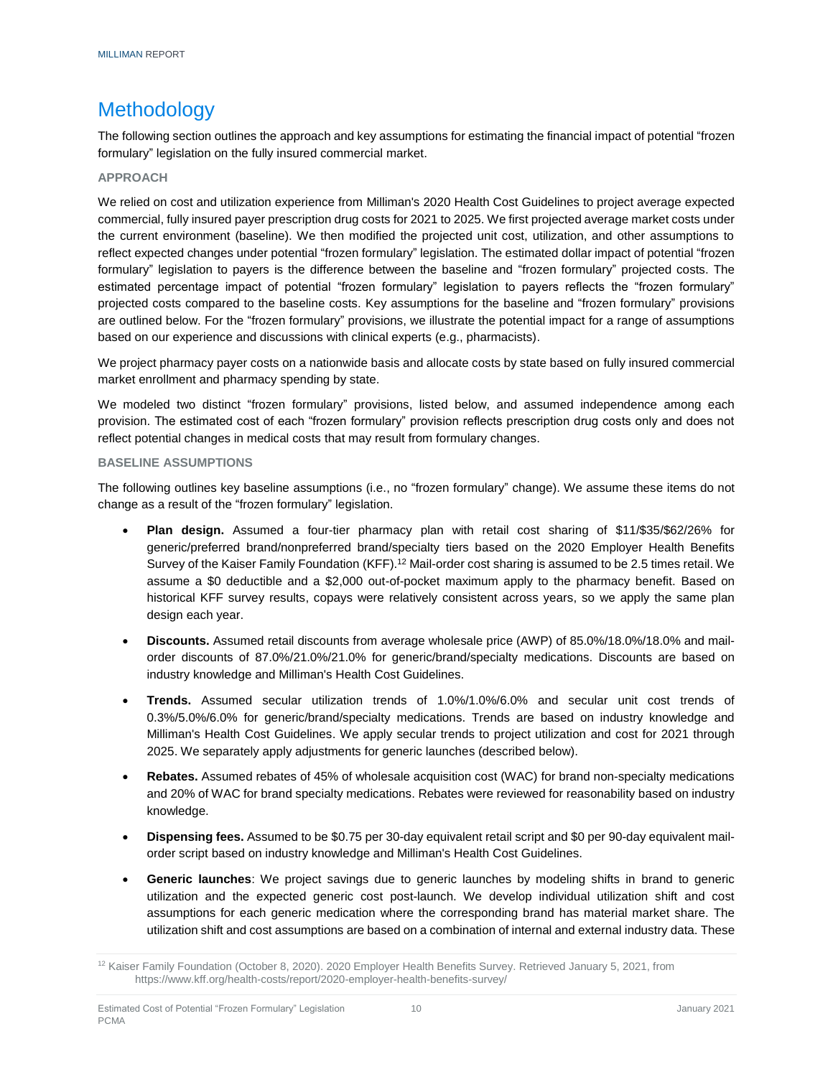# <span id="page-11-0"></span>Methodology

The following section outlines the approach and key assumptions for estimating the financial impact of potential "frozen formulary" legislation on the fully insured commercial market.

#### <span id="page-11-1"></span>**APPROACH**

We relied on cost and utilization experience from Milliman's 2020 Health Cost Guidelines to project average expected commercial, fully insured payer prescription drug costs for 2021 to 2025. We first projected average market costs under the current environment (baseline). We then modified the projected unit cost, utilization, and other assumptions to reflect expected changes under potential "frozen formulary" legislation. The estimated dollar impact of potential "frozen formulary" legislation to payers is the difference between the baseline and "frozen formulary" projected costs. The estimated percentage impact of potential "frozen formulary" legislation to payers reflects the "frozen formulary" projected costs compared to the baseline costs. Key assumptions for the baseline and "frozen formulary" provisions are outlined below. For the "frozen formulary" provisions, we illustrate the potential impact for a range of assumptions based on our experience and discussions with clinical experts (e.g., pharmacists).

We project pharmacy payer costs on a nationwide basis and allocate costs by state based on fully insured commercial market enrollment and pharmacy spending by state.

We modeled two distinct "frozen formulary" provisions, listed below, and assumed independence among each provision. The estimated cost of each "frozen formulary" provision reflects prescription drug costs only and does not reflect potential changes in medical costs that may result from formulary changes.

#### <span id="page-11-2"></span>**BASELINE ASSUMPTIONS**

The following outlines key baseline assumptions (i.e., no "frozen formulary" change). We assume these items do not change as a result of the "frozen formulary" legislation.

- **Plan design.** Assumed a four-tier pharmacy plan with retail cost sharing of \$11/\$35/\$62/26% for generic/preferred brand/nonpreferred brand/specialty tiers based on the 2020 Employer Health Benefits Survey of the Kaiser Family Foundation (KFF).<sup>12</sup> Mail-order cost sharing is assumed to be 2.5 times retail. We assume a \$0 deductible and a \$2,000 out-of-pocket maximum apply to the pharmacy benefit. Based on historical KFF survey results, copays were relatively consistent across years, so we apply the same plan design each year.
- **Discounts.** Assumed retail discounts from average wholesale price (AWP) of 85.0%/18.0%/18.0% and mailorder discounts of 87.0%/21.0%/21.0% for generic/brand/specialty medications. Discounts are based on industry knowledge and Milliman's Health Cost Guidelines.
- **Trends.** Assumed secular utilization trends of 1.0%/1.0%/6.0% and secular unit cost trends of 0.3%/5.0%/6.0% for generic/brand/specialty medications. Trends are based on industry knowledge and Milliman's Health Cost Guidelines. We apply secular trends to project utilization and cost for 2021 through 2025. We separately apply adjustments for generic launches (described below).
- **Rebates.** Assumed rebates of 45% of wholesale acquisition cost (WAC) for brand non-specialty medications and 20% of WAC for brand specialty medications. Rebates were reviewed for reasonability based on industry knowledge.
- **Dispensing fees.** Assumed to be \$0.75 per 30-day equivalent retail script and \$0 per 90-day equivalent mailorder script based on industry knowledge and Milliman's Health Cost Guidelines.
- **Generic launches**: We project savings due to generic launches by modeling shifts in brand to generic utilization and the expected generic cost post-launch. We develop individual utilization shift and cost assumptions for each generic medication where the corresponding brand has material market share. The utilization shift and cost assumptions are based on a combination of internal and external industry data. These

<sup>&</sup>lt;sup>12</sup> Kaiser Family Foundation (October 8, 2020). 2020 Employer Health Benefits Survey. Retrieved January 5, 2021, from https://www.kff.org/health-costs/report/2020-employer-health-benefits-survey/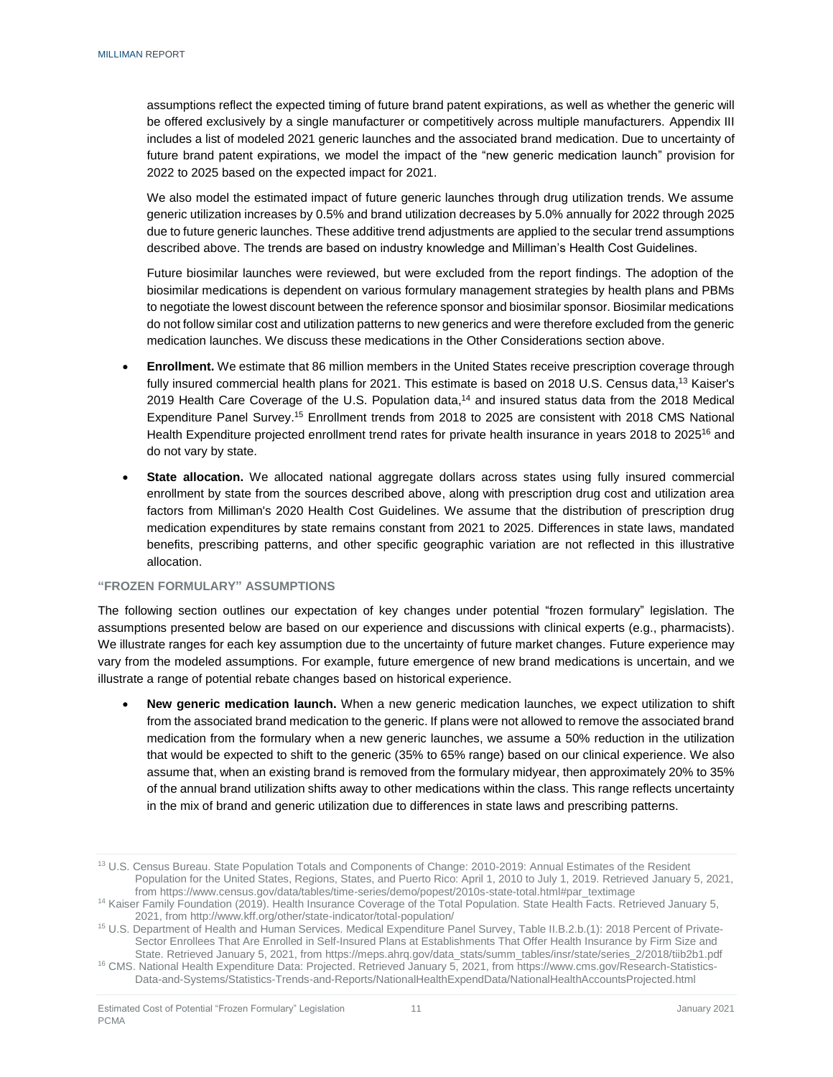assumptions reflect the expected timing of future brand patent expirations, as well as whether the generic will be offered exclusively by a single manufacturer or competitively across multiple manufacturers. Appendix III includes a list of modeled 2021 generic launches and the associated brand medication. Due to uncertainty of future brand patent expirations, we model the impact of the "new generic medication launch" provision for 2022 to 2025 based on the expected impact for 2021.

We also model the estimated impact of future generic launches through drug utilization trends. We assume generic utilization increases by 0.5% and brand utilization decreases by 5.0% annually for 2022 through 2025 due to future generic launches. These additive trend adjustments are applied to the secular trend assumptions described above. The trends are based on industry knowledge and Milliman's Health Cost Guidelines.

Future biosimilar launches were reviewed, but were excluded from the report findings. The adoption of the biosimilar medications is dependent on various formulary management strategies by health plans and PBMs to negotiate the lowest discount between the reference sponsor and biosimilar sponsor. Biosimilar medications do not follow similar cost and utilization patterns to new generics and were therefore excluded from the generic medication launches. We discuss these medications in the Other Considerations section above.

- **Enrollment.** We estimate that 86 million members in the United States receive prescription coverage through fully insured commercial health plans for 2021. This estimate is based on 2018 U.S. Census data,<sup>13</sup> Kaiser's 2019 Health Care Coverage of the U.S. Population data,<sup>14</sup> and insured status data from the 2018 Medical Expenditure Panel Survey.<sup>15</sup> Enrollment trends from 2018 to 2025 are consistent with 2018 CMS National Health Expenditure projected enrollment trend rates for private health insurance in years 2018 to 2025<sup>16</sup> and do not vary by state.
- **State allocation.** We allocated national aggregate dollars across states using fully insured commercial enrollment by state from the sources described above, along with prescription drug cost and utilization area factors from Milliman's 2020 Health Cost Guidelines. We assume that the distribution of prescription drug medication expenditures by state remains constant from 2021 to 2025. Differences in state laws, mandated benefits, prescribing patterns, and other specific geographic variation are not reflected in this illustrative allocation.

#### <span id="page-12-0"></span>**"FROZEN FORMULARY" ASSUMPTIONS**

The following section outlines our expectation of key changes under potential "frozen formulary" legislation. The assumptions presented below are based on our experience and discussions with clinical experts (e.g., pharmacists). We illustrate ranges for each key assumption due to the uncertainty of future market changes. Future experience may vary from the modeled assumptions. For example, future emergence of new brand medications is uncertain, and we illustrate a range of potential rebate changes based on historical experience.

 **New generic medication launch.** When a new generic medication launches, we expect utilization to shift from the associated brand medication to the generic. If plans were not allowed to remove the associated brand medication from the formulary when a new generic launches, we assume a 50% reduction in the utilization that would be expected to shift to the generic (35% to 65% range) based on our clinical experience. We also assume that, when an existing brand is removed from the formulary midyear, then approximately 20% to 35% of the annual brand utilization shifts away to other medications within the class. This range reflects uncertainty in the mix of brand and generic utilization due to differences in state laws and prescribing patterns.

<sup>&</sup>lt;sup>13</sup> U.S. Census Bureau. State Population Totals and Components of Change: 2010-2019: Annual Estimates of the Resident Population for the United States, Regions, States, and Puerto Rico: April 1, 2010 to July 1, 2019. Retrieved January 5, 2021, from https://www.census.gov/data/tables/time-series/demo/popest/2010s-state-total.html#par\_textimage

<sup>&</sup>lt;sup>14</sup> Kaiser Family Foundation (2019). Health Insurance Coverage of the Total Population. State Health Facts. Retrieved January 5, 2021, from<http://www.kff.org/other/state-indicator/total-population/>

<sup>15</sup> U.S. Department of Health and Human Services. Medical Expenditure Panel Survey, Table II.B.2.b.(1): 2018 Percent of Private-Sector Enrollees That Are Enrolled in Self-Insured Plans at Establishments That Offer Health Insurance by Firm Size and State. Retrieved January 5, 2021, from https://meps.ahrq.gov/data\_stats/summ\_tables/insr/state/series\_2/2018/tiib2b1.pdf

<sup>16</sup> CMS. National Health Expenditure Data: Projected. Retrieved January 5, 2021, from [https://www.cms.gov/Research-Statistics-](https://www.cms.gov/Research-Statistics-Data-and-Systems/Statistics-Trends-and-Reports/NationalHealthExpendData/NationalHealthAccountsProjected.html)[Data-and-Systems/Statistics-Trends-and-Reports/NationalHealthExpendData/NationalHealthAccountsProjected.html](https://www.cms.gov/Research-Statistics-Data-and-Systems/Statistics-Trends-and-Reports/NationalHealthExpendData/NationalHealthAccountsProjected.html)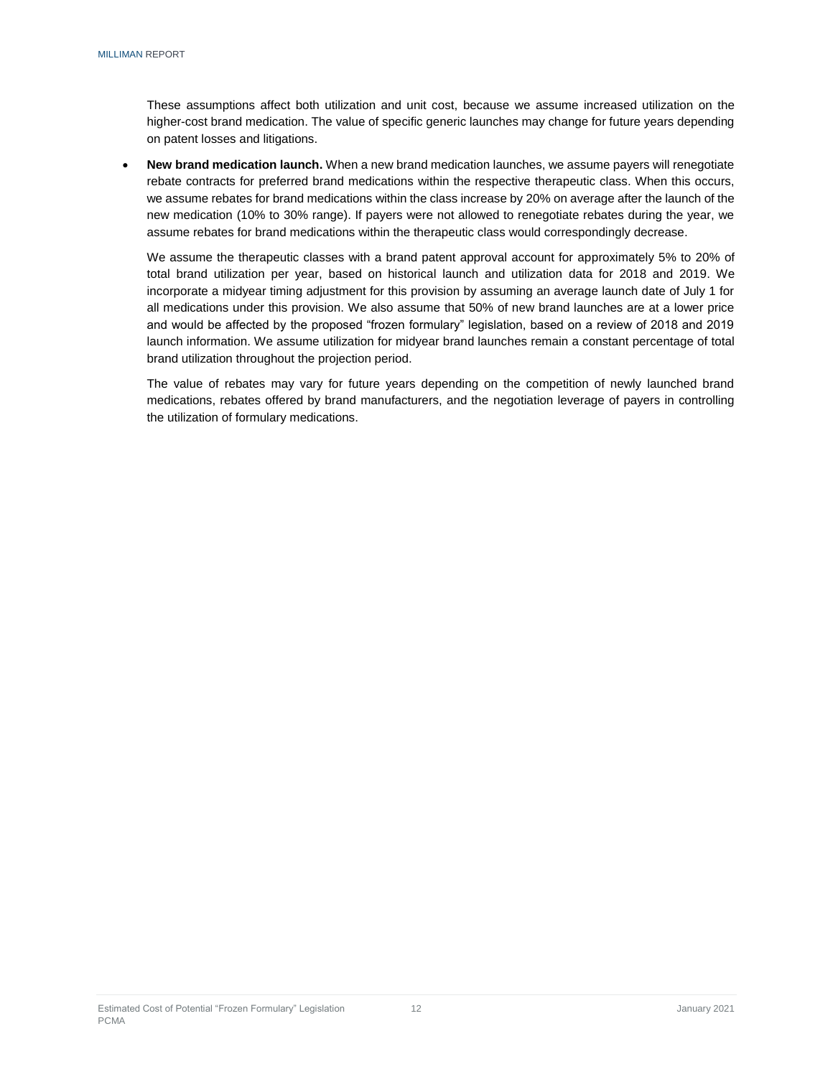These assumptions affect both utilization and unit cost, because we assume increased utilization on the higher-cost brand medication. The value of specific generic launches may change for future years depending on patent losses and litigations.

 **New brand medication launch.** When a new brand medication launches, we assume payers will renegotiate rebate contracts for preferred brand medications within the respective therapeutic class. When this occurs, we assume rebates for brand medications within the class increase by 20% on average after the launch of the new medication (10% to 30% range). If payers were not allowed to renegotiate rebates during the year, we assume rebates for brand medications within the therapeutic class would correspondingly decrease.

We assume the therapeutic classes with a brand patent approval account for approximately 5% to 20% of total brand utilization per year, based on historical launch and utilization data for 2018 and 2019. We incorporate a midyear timing adjustment for this provision by assuming an average launch date of July 1 for all medications under this provision. We also assume that 50% of new brand launches are at a lower price and would be affected by the proposed "frozen formulary" legislation, based on a review of 2018 and 2019 launch information. We assume utilization for midyear brand launches remain a constant percentage of total brand utilization throughout the projection period.

The value of rebates may vary for future years depending on the competition of newly launched brand medications, rebates offered by brand manufacturers, and the negotiation leverage of payers in controlling the utilization of formulary medications.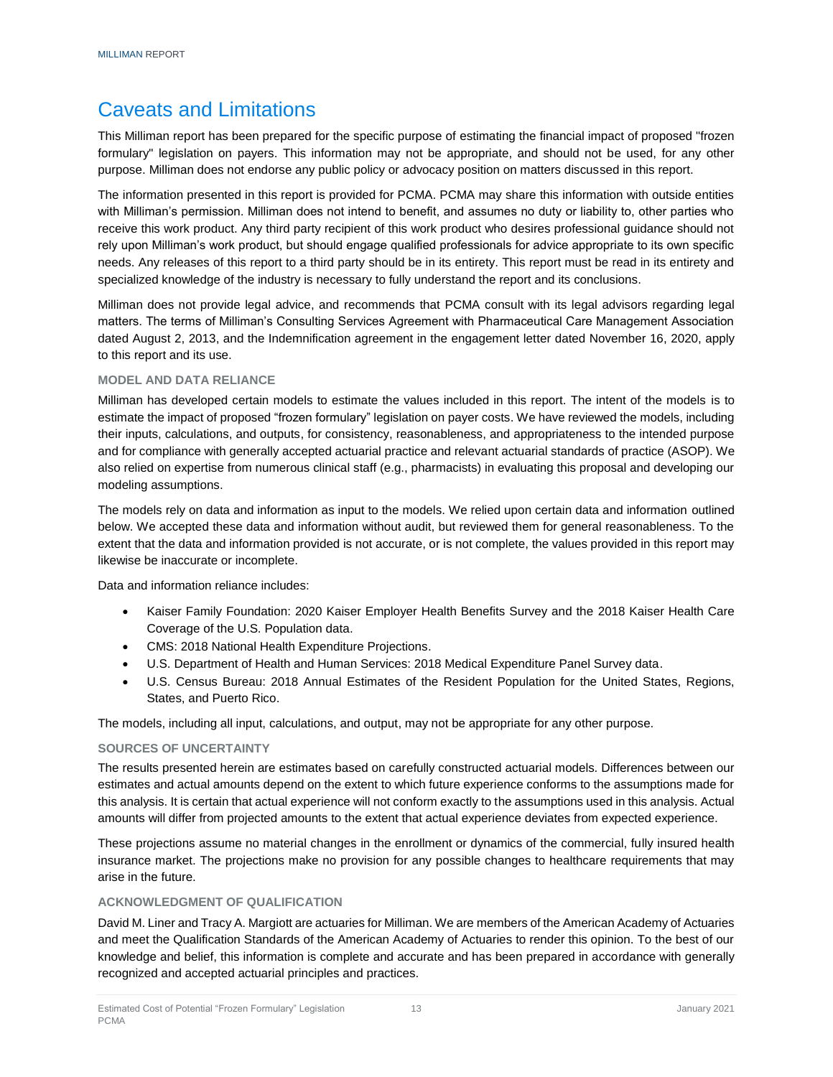# <span id="page-14-0"></span>Caveats and Limitations

This Milliman report has been prepared for the specific purpose of estimating the financial impact of proposed "frozen formulary" legislation on payers. This information may not be appropriate, and should not be used, for any other purpose. Milliman does not endorse any public policy or advocacy position on matters discussed in this report.

The information presented in this report is provided for PCMA. PCMA may share this information with outside entities with Milliman's permission. Milliman does not intend to benefit, and assumes no duty or liability to, other parties who receive this work product. Any third party recipient of this work product who desires professional guidance should not rely upon Milliman's work product, but should engage qualified professionals for advice appropriate to its own specific needs. Any releases of this report to a third party should be in its entirety. This report must be read in its entirety and specialized knowledge of the industry is necessary to fully understand the report and its conclusions.

Milliman does not provide legal advice, and recommends that PCMA consult with its legal advisors regarding legal matters. The terms of Milliman's Consulting Services Agreement with Pharmaceutical Care Management Association dated August 2, 2013, and the Indemnification agreement in the engagement letter dated November 16, 2020, apply to this report and its use.

#### <span id="page-14-1"></span>**MODEL AND DATA RELIANCE**

Milliman has developed certain models to estimate the values included in this report. The intent of the models is to estimate the impact of proposed "frozen formulary" legislation on payer costs. We have reviewed the models, including their inputs, calculations, and outputs, for consistency, reasonableness, and appropriateness to the intended purpose and for compliance with generally accepted actuarial practice and relevant actuarial standards of practice (ASOP). We also relied on expertise from numerous clinical staff (e.g., pharmacists) in evaluating this proposal and developing our modeling assumptions.

The models rely on data and information as input to the models. We relied upon certain data and information outlined below. We accepted these data and information without audit, but reviewed them for general reasonableness. To the extent that the data and information provided is not accurate, or is not complete, the values provided in this report may likewise be inaccurate or incomplete.

Data and information reliance includes:

- Kaiser Family Foundation: 2020 Kaiser Employer Health Benefits Survey and the 2018 Kaiser Health Care Coverage of the U.S. Population data.
- CMS: 2018 National Health Expenditure Projections.
- U.S. Department of Health and Human Services: 2018 Medical Expenditure Panel Survey data.
- U.S. Census Bureau: 2018 Annual Estimates of the Resident Population for the United States, Regions, States, and Puerto Rico.

The models, including all input, calculations, and output, may not be appropriate for any other purpose.

#### <span id="page-14-2"></span>**SOURCES OF UNCERTAINTY**

The results presented herein are estimates based on carefully constructed actuarial models. Differences between our estimates and actual amounts depend on the extent to which future experience conforms to the assumptions made for this analysis. It is certain that actual experience will not conform exactly to the assumptions used in this analysis. Actual amounts will differ from projected amounts to the extent that actual experience deviates from expected experience.

These projections assume no material changes in the enrollment or dynamics of the commercial, fully insured health insurance market. The projections make no provision for any possible changes to healthcare requirements that may arise in the future.

#### <span id="page-14-3"></span>**ACKNOWLEDGMENT OF QUALIFICATION**

David M. Liner and Tracy A. Margiott are actuaries for Milliman. We are members of the American Academy of Actuaries and meet the Qualification Standards of the American Academy of Actuaries to render this opinion. To the best of our knowledge and belief, this information is complete and accurate and has been prepared in accordance with generally recognized and accepted actuarial principles and practices.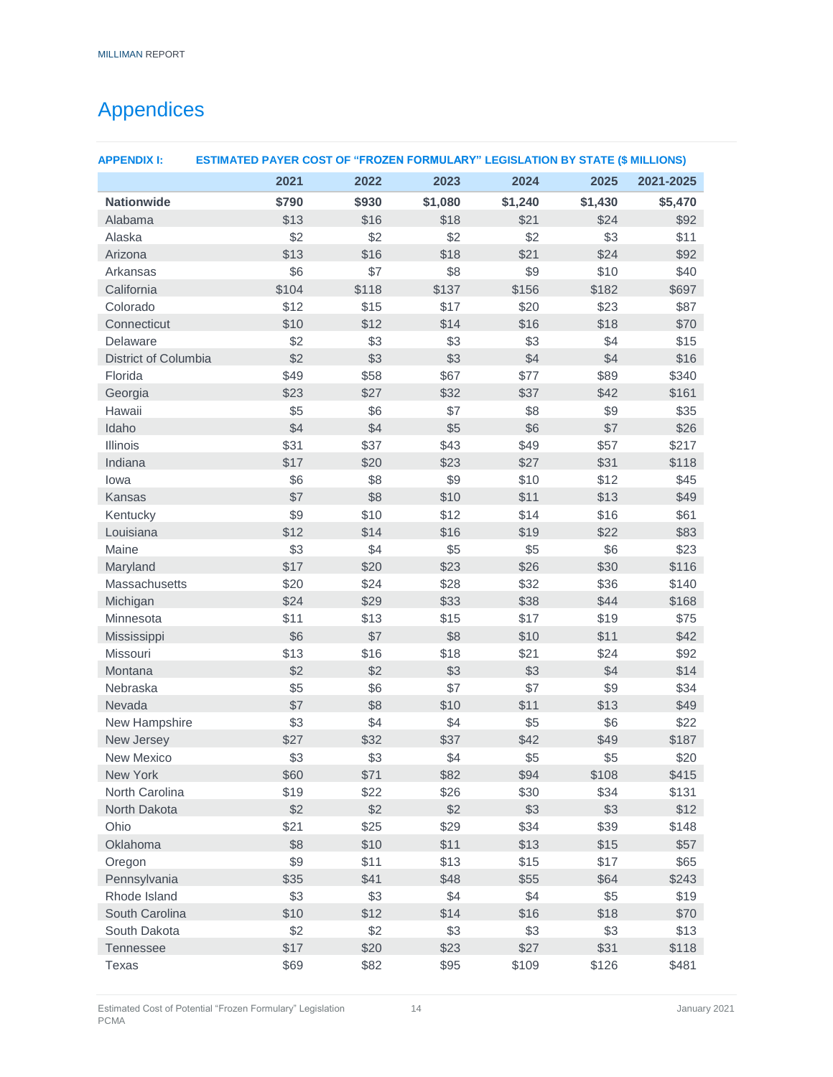# <span id="page-15-0"></span>Appendices

| <b>APPENDIX I:</b>   | <b>ESTIMATED PAYER COST OF "FROZEN FORMULARY" LEGISLATION BY STATE (\$ MILLIONS)</b> |            |             |              |              |              |
|----------------------|--------------------------------------------------------------------------------------|------------|-------------|--------------|--------------|--------------|
|                      | 2021                                                                                 | 2022       | 2023        | 2024         | 2025         | 2021-2025    |
| <b>Nationwide</b>    | \$790                                                                                | \$930      | \$1,080     | \$1,240      | \$1,430      | \$5,470      |
| Alabama              | \$13                                                                                 | \$16       | \$18        | \$21         | \$24         | \$92         |
| Alaska               | \$2                                                                                  | \$2        | \$2         | \$2          | \$3          | \$11         |
| Arizona              | \$13                                                                                 | \$16       | \$18        | \$21         | \$24         | \$92         |
| Arkansas             | \$6                                                                                  | \$7        | \$8         | \$9          | \$10         | \$40         |
| California           | \$104                                                                                | \$118      | \$137       | \$156        | \$182        | \$697        |
| Colorado             | \$12                                                                                 | \$15       | \$17        | \$20         | \$23         | \$87         |
| Connecticut          | \$10                                                                                 | \$12       | \$14        | \$16         | \$18         | \$70         |
| Delaware             | \$2                                                                                  | \$3        | \$3         | \$3          | \$4          | \$15         |
| District of Columbia | \$2                                                                                  | \$3        | \$3         | \$4          | \$4          | \$16         |
| Florida              | \$49                                                                                 | \$58       | \$67        | \$77         | \$89         | \$340        |
| Georgia              | \$23                                                                                 | \$27       | \$32        | \$37         | \$42         | \$161        |
| Hawaii               | \$5                                                                                  | \$6        | \$7         | \$8          | \$9          | \$35         |
| Idaho                | \$4                                                                                  | \$4        | \$5         | \$6          | \$7          | \$26         |
| <b>Illinois</b>      | \$31                                                                                 | \$37       | \$43        | \$49         | \$57         | \$217        |
| Indiana              | \$17                                                                                 | \$20       | \$23<br>\$9 | \$27         | \$31         | \$118        |
| lowa<br>Kansas       | \$6<br>\$7                                                                           | \$8<br>\$8 | \$10        | \$10<br>\$11 | \$12<br>\$13 | \$45<br>\$49 |
| Kentucky             | \$9                                                                                  | \$10       | \$12        | \$14         | \$16         | \$61         |
| Louisiana            | \$12                                                                                 | \$14       | \$16        | \$19         | \$22         | \$83         |
| Maine                | \$3                                                                                  | \$4        | \$5         | \$5          | \$6          | \$23         |
| Maryland             | \$17                                                                                 | \$20       | \$23        | \$26         | \$30         | \$116        |
| Massachusetts        | \$20                                                                                 | \$24       | \$28        | \$32         | \$36         | \$140        |
| Michigan             | \$24                                                                                 | \$29       | \$33        | \$38         | \$44         | \$168        |
| Minnesota            | \$11                                                                                 | \$13       | \$15        | \$17         | \$19         | \$75         |
| Mississippi          | \$6                                                                                  | \$7        | \$8         | \$10         | \$11         | \$42         |
| Missouri             | \$13                                                                                 | \$16       | \$18        | \$21         | \$24         | \$92         |
| Montana              | \$2                                                                                  | \$2        | \$3         | \$3          | \$4          | \$14         |
| Nebraska             | \$5                                                                                  | \$6        | \$7         | \$7          | \$9          | \$34         |
| Nevada               | \$7                                                                                  | \$8        | \$10        | \$11         | \$13         | \$49         |
| New Hampshire        | \$3                                                                                  | \$4        | \$4         | \$5          | \$6          | \$22         |
| New Jersey           | \$27                                                                                 | \$32       | \$37        | \$42         | \$49         | \$187        |
| <b>New Mexico</b>    | \$3                                                                                  | \$3        | \$4         | \$5          | \$5          | \$20         |
| New York             | \$60                                                                                 | \$71       | \$82        | \$94         | \$108        | \$415        |
| North Carolina       | \$19                                                                                 | \$22       | \$26        | \$30         | \$34         | \$131        |
| North Dakota         | \$2                                                                                  | \$2        | \$2         | \$3          | \$3          | \$12         |
| Ohio                 | \$21                                                                                 | \$25       | \$29        | \$34         | \$39         | \$148        |
| Oklahoma             | \$8                                                                                  | \$10       | \$11        | \$13         | \$15         | \$57         |
| Oregon               | \$9                                                                                  | \$11       | \$13        | \$15         | \$17         | \$65         |
| Pennsylvania         | \$35                                                                                 | \$41       | \$48        | \$55         | \$64         | \$243        |
| Rhode Island         | \$3                                                                                  | \$3        | \$4         | \$4          | \$5          | \$19         |
| South Carolina       | \$10                                                                                 | \$12       | \$14        | \$16         | \$18         | \$70         |
| South Dakota         | \$2                                                                                  | \$2        | \$3         | \$3          | \$3          | \$13         |
| <b>Tennessee</b>     | \$17                                                                                 | \$20       | \$23        | \$27         | \$31         | \$118        |
| Texas                | \$69                                                                                 | \$82       | \$95        | \$109        | \$126        | \$481        |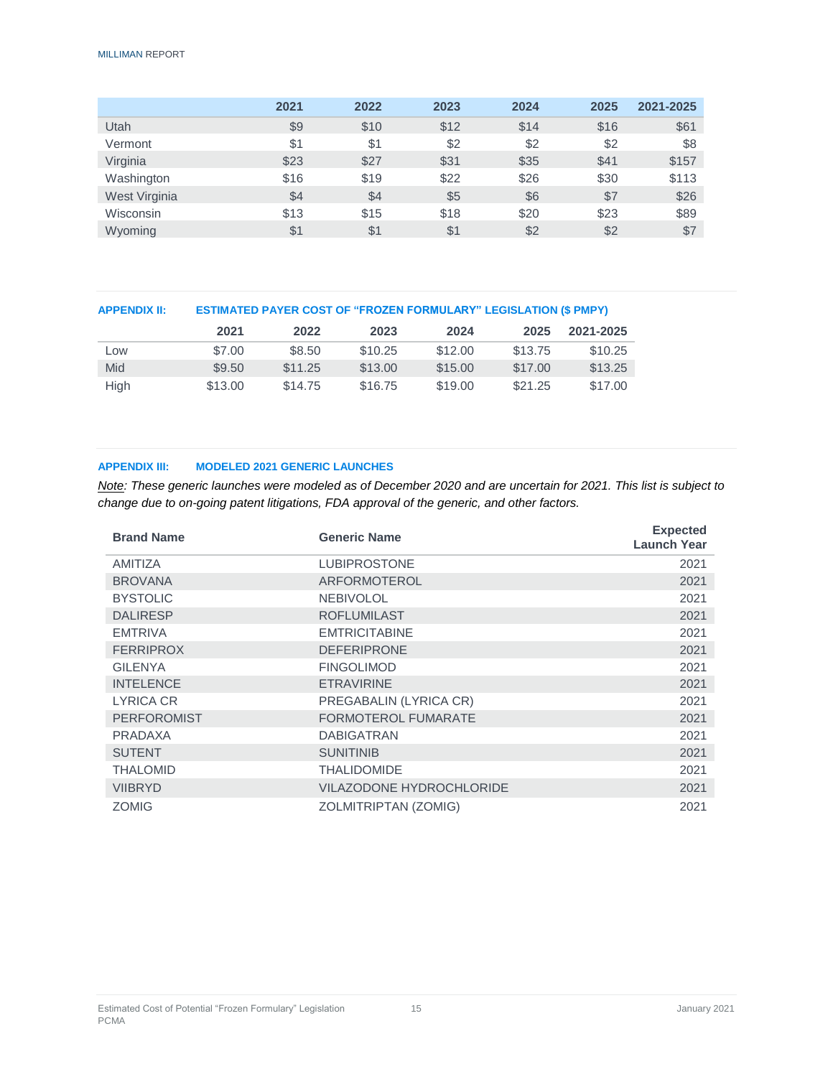#### MILLIMAN REPORT

|               | 2021 | 2022 | 2023 | 2024 | 2025 | 2021-2025 |
|---------------|------|------|------|------|------|-----------|
| Utah          | \$9  | \$10 | \$12 | \$14 | \$16 | \$61      |
| Vermont       | \$1  | \$1  | \$2  | \$2  | \$2  | \$8       |
| Virginia      | \$23 | \$27 | \$31 | \$35 | \$41 | \$157     |
| Washington    | \$16 | \$19 | \$22 | \$26 | \$30 | \$113     |
| West Virginia | \$4  | \$4  | \$5  | \$6  | \$7  | \$26      |
| Wisconsin     | \$13 | \$15 | \$18 | \$20 | \$23 | \$89      |
| Wyoming       | \$1  | \$1  | \$1  | \$2  | \$2  | \$7       |

| <b>APPENDIX II:</b> | <b>ESTIMATED PAYER COST OF "FROZEN FORMULARY" LEGISLATION (\$ PMPY)</b> |         |         |         |         |           |
|---------------------|-------------------------------------------------------------------------|---------|---------|---------|---------|-----------|
|                     | 2021                                                                    | 2022    | 2023    | 2024    | 2025    | 2021-2025 |
| Low                 | \$7.00                                                                  | \$8.50  | \$10.25 | \$12.00 | \$13.75 | \$10.25   |
| Mid                 | \$9.50                                                                  | \$11.25 | \$13.00 | \$15.00 | \$17.00 | \$13.25   |
| High                | \$13.00                                                                 | \$14.75 | \$16.75 | \$19.00 | \$21.25 | \$17.00   |

#### **APPENDIX III: MODELED 2021 GENERIC LAUNCHES**

*Note: These generic launches were modeled as of December 2020 and are uncertain for 2021. This list is subject to change due to on-going patent litigations, FDA approval of the generic, and other factors.*

| <b>Brand Name</b>  | <b>Generic Name</b>             | <b>Expected</b><br><b>Launch Year</b> |
|--------------------|---------------------------------|---------------------------------------|
| <b>AMITIZA</b>     | <b>LUBIPROSTONE</b>             | 2021                                  |
| <b>BROVANA</b>     | ARFORMOTEROL                    | 2021                                  |
| <b>BYSTOLIC</b>    | <b>NEBIVOLOL</b>                | 2021                                  |
| <b>DALIRESP</b>    | <b>ROFLUMILAST</b>              | 2021                                  |
| <b>EMTRIVA</b>     | <b>EMTRICITABINE</b>            | 2021                                  |
| <b>FERRIPROX</b>   | <b>DEFERIPRONE</b>              | 2021                                  |
| <b>GILENYA</b>     | <b>FINGOLIMOD</b>               | 2021                                  |
| <b>INTELENCE</b>   | <b>ETRAVIRINE</b>               | 2021                                  |
| LYRICA CR          | PREGABALIN (LYRICA CR)          | 2021                                  |
| <b>PERFOROMIST</b> | <b>FORMOTEROL FUMARATE</b>      | 2021                                  |
| PRADAXA            | <b>DABIGATRAN</b>               | 2021                                  |
| <b>SUTENT</b>      | <b>SUNITINIB</b>                | 2021                                  |
| <b>THALOMID</b>    | <b>THALIDOMIDE</b>              | 2021                                  |
| <b>VIIBRYD</b>     | <b>VILAZODONE HYDROCHLORIDE</b> | 2021                                  |
| <b>ZOMIG</b>       | ZOLMITRIPTAN (ZOMIG)            | 2021                                  |